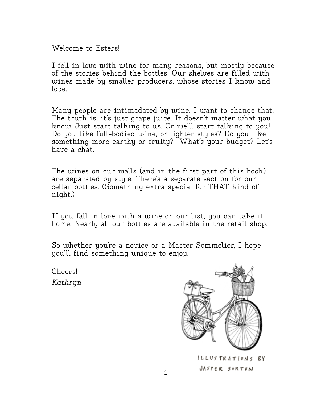Welcome to Esters!

I fell in love with wine for many reasons, but mostly because of the stories behind the bottles. Our shelves are filled with wines made by smaller producers, whose stories I know and  $l$ ove.

Many people are intimadated by wine. I want to change that. The truth is, it's just grape juice. It doesn't matter what you know. Just start talking to us. Or we'll start talking to you! Do you like full-bodied wine, or lighter styles? Do you like something more earthy or fruity? What's your budget? Let's have a chat.

The wines on our walls (and in the first part of this book) are separated by style. There's a separate section for our cellar bottles. (Something extra special for THAT kind of night.)

If you fall in love with a wine on our list, you can take it home. Nearly all our bottles are available in the retail shop.

So whether you're a novice or a Master Sommelier, I hope you'll find something unique to enjoy.

Cheers! *Kathryn*



JASPER SORTUN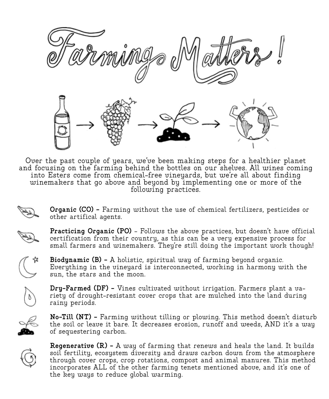

Over the past couple of years, we've been making steps for a healthier planet and focusing on the farming behind the bottles on our shelves. All wines coming into Esters come from chemical-free vineyards, but we're all about finding winemakers that go above and beyond by implementing one or more of the following practices.

> **Organic (CO) -** Farming without the use of chemical fertilizers, pesticides or other artifical agents.



**Practicing Organic (PO)** - Follows the above practices, but doesn't have official certification from their country, as this can be a very expensive process for small farmers and winemakers. They're still doing the important work though!



**Biodynamic (B) -** A holistic, spiritual way of farming beyond organic. Everything in the vineyard is interconnected, working in harmony with the sun, the stars and the moon.



**Dry-Farmed (DF) -** Vines cultivated without irrigation. Farmers plant a va- riety of drought-resistant cover crops that are mulched into the land during rainy periods.



**No-Till (NT) -** Farming without tilling or plowing. This method doesn't disturb the soil or leave it bare. It decreases erosion, runoff and weeds, AND it's a way of sequestering carbon.



**Regenerative (R) -** A way of farming that renews and heals the land. It builds soil fertility, ecosystem diversity and draws carbon down from the atmosphere through cover crops, crop rotations, compost and animal manures. This method incorporates ALL of the other farming tenets mentioned above, and it's one of the key ways to reduce global warming.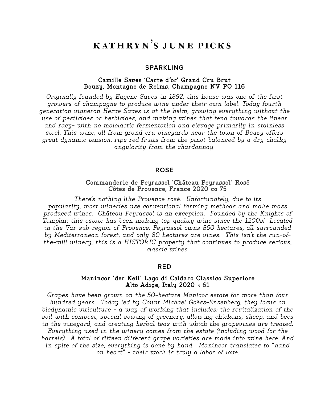# k ath ry n's j u n e picks

#### **SPARKLING**

### **Camille Saves 'Carte d'or' Grand Cru Brut Bouzy, Montagne de Reims, Champagne NV PO 116**

*Originally founded by Eugene Saves in 1892, this house was one of the first growers of champagne to produce wine under their own label. Today fourth generation vigneron Herve Saves is at the helm, growing everything without the use of pesticides or herbicides, and making wines that tend towards the linear and racy- with no malolactic fermentation and elevage primarily in stainless steel. This wine, all from grand cru vineyards near the town of Bouzy offers great dynamic tension, ripe red fruits from the pinot balanced by a dry chalky angularity from the chardonnay.*

#### **ROSE**

#### **Commanderie de Peyrassol 'Château Peyrassol' Rosé Côtes de Provence, France 2020 co 75**

*There's nothing like Provence rosé. Unfortunately, due to its popularity, most wineries use conventional farming methods and make mass produced wines. Château Peyrassol is an exception. Founded by the Knights of Templar, this estate has been making top quality wine since the 1200s! Located in the Var sub-region of Provence, Peyrassol owns 850 hectares, all surrounded by Mediterranean forest, and only 80 hectares are vines. This isn't the run-ofthe-mill winery, this is a HISTORIC property that continues to produce serious, classic wines.* 

#### **RED**

#### **Manincor 'der Keil' Lago di Caldaro Classico Superiore Alto Adige, Italy 2020** <sup>B</sup> **61**

*Grapes have been grown on the 50-hectare Manicor estate for more than four hundred years. Today led by Count Michael Goëss-Enzenberg, they focus on biodynamic viticulture - a way of working that includes: the revitalization of the soil with compost, special sowing of greenery, allowing chickens, sheep, and bees in the vineyard, and creating herbal teas with which the grapevines are treated. Everything used in the winery comes from the estate (including wood for the barrels). A total of fifteen different grape varieties are made into wine here. And in spite of the size, everything is done by hand. Manincor translates to "hand on heart" - their work is truly a labor of love.*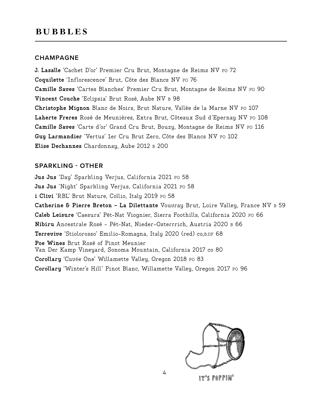### **CHAMPAGNE**

**J. Lasalle** 'Cachet D'or' Premier Cru Brut, Montagne de Reims NV PO 72 **Coquilette** 'Inflorescence' Brut, Côte des Blancs NV PO 76 **Camille Saves** 'Cartes Blanches' Premier Cru Brut, Montagne de Reims NV PO 90 **Vincent Couche** 'Eclipsia' Brut Rosé, Aube NV <sup>B</sup> 98 **Christophe Mignon** Blanc de Noirs, Brut Nature, Vallée de la Marne NV PO 107 Laherte Freres Rosé de Meunières, Extra Brut, Côteaux Sud d'Epernay NV PO 108 **Camille Saves** 'Carte d'or' Grand Cru Brut, Bouzy, Montagne de Reims NV PO 116 **Guy Larmandier** 'Vertus' 1er Cru Brut Zero, Côte des Blancs NV PO 102 **Elise Dechannes** Chardonnay, Aube 2012 B 200

## **SPARKLING - OTHER**

**Jus Jus** 'Day' Sparkling Verjus, California 2021 PO 58 **Jus Jus** 'Night' Sparkling Verjus, California 2021 PO 58 i Clivi 'RBL' Brut Nature, Collio, Italy 2019 Po 58 **Catherine & Pierre Breton - La Dilettante** Vouvray Brut, Loire Valley, France NV B 59 **Caleb Leisure** 'Caesura' Pét-Nat Viognier, Sierra Foothills, California 2020 PO 66 **Nibiru** Ancestrale Rosé - Pét-Nat, Nieder-Osterrrich, Austria 2020 B 66 **Terrevive** 'Stiolorosso' Emilio-Romagna, Italy 2020 (red) co,B,DF 68 **Poe Wines** Brut Rosé of Pinot Meunier Van Der Kamp Vineyard, Sonoma Mountain, California 2017 co 80 **Corollary** 'Cuvée One' Willamette Valley, Oregon 2018 PO 83 **Corollary** 'Winter's Hill' Pinot Blanc, Willamette Valley, Oregon 2017 PO 96

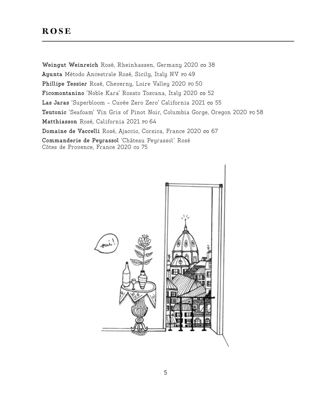# **ROSE**

**Weingut Weinreich** Rosé, Rheinhassen, Germany 2020 co 38 **Ayunta** Método Ancestrale Rosé, Sicily, Italy NV PO 49 **Phillipe Tessier** Rosé, Cheverny, Loire Valley 2020 PO 50 **Ficomontanino** 'Noble Kara' Rosato Toscana, Italy 2020 co 52 **Las Jaras** 'Superbloom - Cuvée Zero Zero' California 2021 co 55 **Teutonic** 'Seafoam' Vin Gris of Pinot Noir, Columbia Gorge, Oregon 2020 PO 58 **Matthiasson** Rosé, California 2021 PO 64 **Domaine de Vaccelli** Rosé, Ajaccio, Corsica, France 2020 co 67 **Commanderie de Peyrassol** 'Château Peyrassol' Rosé Côtes de Provence, France 2020 co 75

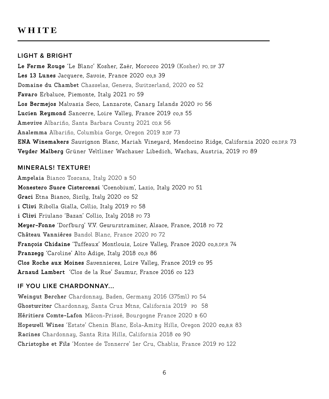# **WHITE**

### **LIGHT & BRIGHT**

**Le Ferme Rouge** 'Le Blanc' Kosher, Zaër, Morocco 2019 (Kosher) PO, DF 37 **Les 13 Lunes** Jacquere, Savoie, France 2020 co,B 39 **Domaine du Chambet** Chasselas, Geneva, Switzerland, 2020 co 52 **Favaro** Erbaluce, Piemonte, Italy 2021 PO 59 **Los Bermejos** Malvasia Seco, Lanzarote, Canary Islands 2020 PO 56 **Lucien Reymond** Sancerre, Loire Valley, France 2019 co,B 55 **Amevive** Albariño, Santa Barbara County 2021 CO,R 56 **Analemma** Albariño, Columbia Gorge, Oregon 2019 B,DF 73 **ENA Winemakers** Sauvignon Blanc, Mariah Vineyard, Mendocino Ridge, California 2020 co,DF,R 73 **Veyder Malberg** Grüner Veltliner Wachauer Libedich, Wachau, Austria, 2019 PO 89

## **MINERALS! TEXTURE!**

**Ampelaia** Bianco Toscana, Italy 2020 B 50 **Monestero Suore Cistercensi** 'Coenobium', Lazio, Italy 2020 PO 51 **Graci** Etna Bianco, Sicily, Italy 2020 co 52 i Clivi Ribolla Gialla, Collio, Italy 2019 Po 58 **i Clivi** Friulano 'Bazan' Collio, Italy 2018 PO 73 **Meyer-Fonne** 'Dorfburg' V.V. Gewurztraminer, Alsace, France, 2018 PO 72 **Château Vanniéres** Bandol Blanc, France 2020 PO 72 **François Chidaine** 'Tuffeaux' Montlouis, Loire Valley, France 2020 co,B,DF,R 74 **Pranzegg** 'Caroline' Alto Adige, Italy 2018 co,B 86 **Clos Roche aux Moines** Savennieres, Loire Valley, France 2019 co 95 **Arnaud Lambert** 'Clos de la Rue' Saumur, France 2016 co 123

## **IF YOU LIKE CHARDONNAY...**

**Weingut Bercher** Chardonnay, Baden, Germany 2016 (375ml) PO 54 **Ghostwriter** Chardonnay, Santa Cruz Mtns, California 2019 PO 58 **Héritiers Comte-Lafon** Mâcon-Prissé, Bourgogne France 2020 B 60 **Hopewell Wines** 'Estate' Chenin Blanc, Eola-Amity Hills, Oregon 2020 co,B,R 83 **Racines** Chardonnay, Santa Rita Hills, California 2018 co 90 **Christophe et Fils** 'Montee de Tonnerre' 1er Cru, Chablis, France 2019 PO 122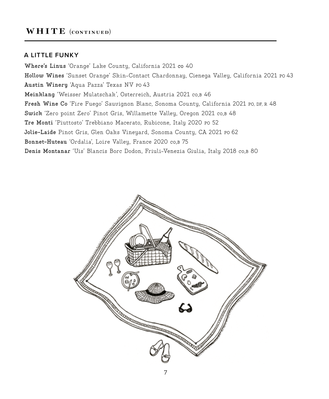# WHITE (CONTINUED)

### **A LITTLE FUNKY**

**Where's Linus** 'Orange' Lake County, California 2021 co 40 **Hollow Wines** 'Sunset Orange' Skin-Contact Chardonnay, Cienega Valley, California 2021 PO 43 **Austin Winery** 'Aqua Pazza' Texas NV PO 43 **Meinklang** 'Weisser Mulatschak', Osterreich, Austria 2021 co,B 46 **Fresh Wine Co** 'Fire Fuego' Sauvignon Blanc, Sonoma County, California 2021 PO, DF, R 48 **Swick** 'Zero point Zero' Pinot Gris, Willamette Valley, Oregon 2021 co,B 48 **Tre Monti** 'Piuttosto' Trebbiano Macerato, Rubicone, Italy 2020 PO 52 Jolie-Laide Pinot Gris, Glen Oaks Vineyard, Sonoma County, CA 2021 Po 62 **Bonnet-Huteau** 'Ordalia', Loire Valley, France 2020 co,B 75 **Denis Montanar** 'Uis' Blancis Borc Dodon, Friuli-Venezia Giulia, Italy 2018 co,B 80

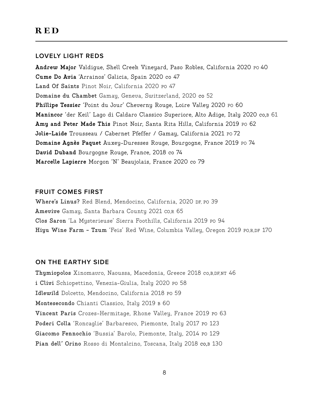## **LOVELY LIGHT REDS**

Andrew Major Valdigue, Shell Creek Vineyard, Paso Robles, California 2020 Po 40 **Cume Do Avia** 'Arrainos' Galicia, Spain 2020 co 47 **Land Of Saints** Pinot Noir, California 2020 PO 47 **Domaine du Chambet** Gamay, Geneva, Switzerland, 2020 co 52 **Phillipe Tessier** 'Point du Jour' Cheverny Rouge, Loire Valley 2020 PO 60 **Manincor** 'der Keil' Lago di Caldaro Classico Superiore, Alto Adige, Italy 2020 co,B 61 Amy and Peter Made This Pinot Noir, Santa Rita Hills, California 2019 Po 62 Jolie-Laide Trousseau / Cabernet Pfeffer / Gamay, California 2021 Po 72 **Domaine Agnès Paquet** Auxey-Duresses Rouge, Bourgogne, France 2019 PO 74 **David Duband** Bourgogne Rouge, France, 2018 co 74 **Marcelle Lapierre** Morgon 'N' Beaujolais, France 2020 co 79

### **FRUIT COMES FIRST**

**Where's Linus?** Red Blend, Mendocino, California, 2020 DF, PO 39 **Amevive** Gamay, Santa Barbara County 2021 CO,R 65 **Clos Saron** 'La Mysterieuse' Sierra Foothills, California 2019 PO 94 **Hiyu Wine Farm - Tzum** 'Feis' Red Wine, Columbia Valley, Oregon 2019 PO,R,DF 170

## **ON THE EARTHY SIDE**

**Thymiopolos** Xinomavro, Naoussa, Macedonia, Greece 2018 co,B,DF,NT 46 **i Clivi** Schiopettino, Venezia-Giulia, Italy 2020 PO 58 **Idlewild** Dolcetto, Mendocino, California 2018 PO 59 **Montesecondo** Chianti Classico, Italy 2019 B 60 **Vincent Paris** Crozes-Hermitage, Rhone Valley, France 2019 PO 63 Poderi Colla 'Roncaglie' Barbaresco, Piemonte, Italy 2017 Po 123 **Giacomo Fennochio** 'Bussia' Barolo, Piemonte, Italy, 2014 PO 129 Pian dell' Orino Rosso di Montalcino, Toscana, Italy 2018 co,B 130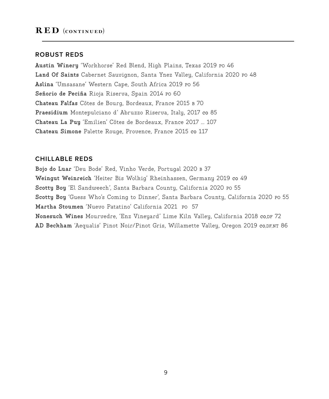#### **ROBUST REDS**

**Austin Winery** 'Workhorse' Red Blend, High Plains, Texas 2019 PO 46 **Land Of Saints** Cabernet Sauvignon, Santa Ynez Valley, California 2020 PO 48 **Aslina** 'Umsasane' Western Cape, South Africa 2019 PO 56 **Señorio de Peciña** Rioja Riserva, Spain 2014 PO 60 **Chateau Falfas** Côtes de Bourg, Bordeaux, France 2015 B 70 **Praesidium** Montepulciano d' Abruzzo Riserva, Italy, 2017 co 85 **Chateau La Puy** 'Emilien' Côtes de Bordeaux, France 2017 ... 107 **Chateau Simone** Palette Rouge, Provence, France 2015 co 117

## **CHILLABLE REDS**

**Bojo do Luar** 'Deu Bode' Red, Vinho Verde, Portugal 2020 B 37 **Weingut Weinreich** 'Heiter Bis Wolkig' Rheinhassen, Germany 2019 co 49 **Scotty Boy** 'El Sandweech', Santa Barbara County, California 2020 PO 55 **Scotty Boy** 'Guess Who's Coming to Dinner', Santa Barbara County, California 2020 PO 55 **Martha Stoumen** 'Nuevo Patatino' California 2021 PO 57 **Nonesuch Wines** Mourvedre, 'Enz Vineyard' Lime Kiln Valley, California 2018 co,DF 72 **AD Beckham** 'Aequalis' Pinot Noir/Pinot Gris, Willamette Valley, Oregon 2019 co,DF,NT 86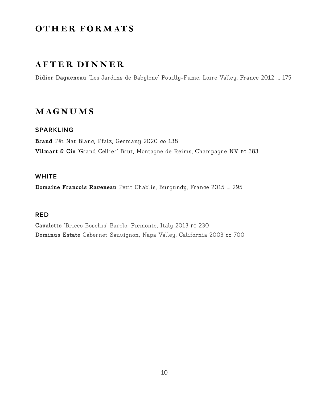# OTHER FORMATS

# after dinner

**Didier Dagueneau** 'Les Jardins de Babylone' Pouilly-Fumé, Loire Valley, France 2012 ... 175

# magnums

## **SPARKLING**

**Brand** Pét Nat Blanc, Pfalz, Germany 2020 co 138 **Vilmart & Cie** 'Grand Cellier' Brut, Montagne de Reims, Champagne NV PO 383

## **WHITE**

**Domaine Francois Raveneau** Petit Chablis, Burgundy, France 2015 ... 295

## **RED**

**Cavalotto** 'Bricco Boschis' Barolo, Piemonte, Italy 2013 PO 230 **Dominus Estate** Cabernet Sauvignon, Napa Valley, California 2003 co 700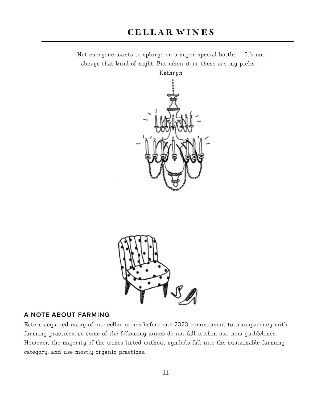Not everyone wants to splurge on a super special bottle. It's not always that kind of night. But when it is, these are my picks. -





## **A NOTE ABOUT FARMING**

Esters acquired many of our cellar wines before our 2020 commitment to transparency with farming practices, so some of the following wines do not fall within our new guildelines. However, the majority of the wines listed without symbols fall into the sustainable farming category, and use mostly organic practices.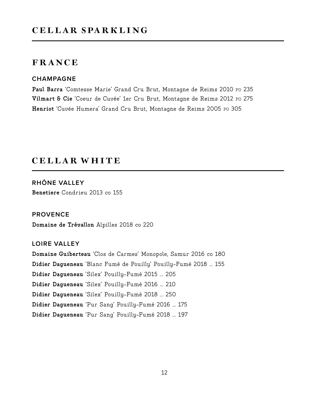#### **CHAMPAGNE**

Paul Barra 'Comtesse Marie' Grand Cru Brut, Montagne de Reims 2010 Po 235 **Vilmart & Cie** 'Coeur de Cuvée' 1er Cru Brut, Montagne de Reims 2012 PO 275 **Henriot** 'Cuvée Humera' Grand Cru Brut, Montagne de Reims 2005 PO 305

# cellar white

**Benetiere** Condrieu 2013 co 155 **RHÔNE VALLEY**

## **PROVENCE**

**Domaine de Trévallon** Alpilles 2018 co 220

### **LOIRE VALLEY**

**Domaine Guiberteau** 'Clos de Carmes' Monopole, Samur 2016 co 180 **Didier Dagueneau** 'Blanc Fumé de Pouilly' Pouilly-Fumé 2018 ... 155 **Didier Dagueneau** 'Silex' Pouilly-Fumé 2015 ... 205 **Didier Dagueneau** 'Silex' Pouilly-Fumé 2016 ... 210 **Didier Dagueneau** 'Silex' Pouilly-Fumé 2018 ... 250 **Didier Dagueneau** 'Pur Sang' Pouilly-Fumé 2016 ... 175 **Didier Dagueneau** 'Pur Sang' Pouilly-Fumé 2018 ... 197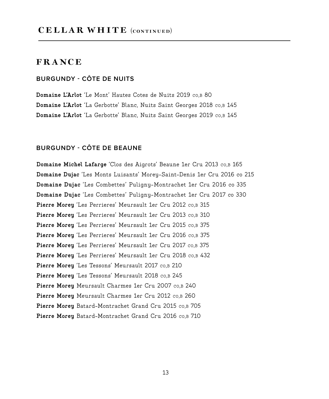## **BURGUNDY - CÔTE DE NUITS**

**Domaine L'Arlot** 'Le Mont' Hautes Cotes de Nuits 2019 co,B 80 **Domaine L'Arlot** 'La Gerbotte' Blanc, Nuits Saint Georges 2018 co,B 145 **Domaine L'Arlot** 'La Gerbotte' Blanc, Nuits Saint Georges 2019 co,B 145

#### **BURGUNDY - CÔTE DE BEAUNE**

**Domaine Michel Lafarge** 'Clos des Aigrots' Beaune 1er Cru 2013 co,B 165 **Domaine Dujac** 'Les Monts Luisants' Morey-Saint-Denis 1er Cru 2016 co 215 **Domaine Dujac** 'Les Combettes' Puligny-Montrachet 1er Cru 2016 co 335 **Domaine Dujac** 'Les Combettes' Puligny-Montrachet 1er Cru 2017 co 330 **Pierre Morey** 'Les Perrieres' Meursault 1er Cru 2012 co,B 315 **Pierre Morey** 'Les Perrieres' Meursault 1er Cru 2013 co,B 310 **Pierre Morey** 'Les Perrieres' Meursault 1er Cru 2015 co,B 375 **Pierre Morey** 'Les Perrieres' Meursault 1er Cru 2016 co,B 375 **Pierre Morey** 'Les Perrieres' Meursault 1er Cru 2017 co,B 375 Pierre Morey 'Les Perrieres' Meursault 1er Cru 2018 co,B 432 Pierre Morey 'Les Tessons' Meursault 2017 co,B 210 **Pierre Morey** 'Les Tessons' Meursault 2018 co,B 245 **Pierre Morey** Meursault Charmes 1er Cru 2007 co,B 240 **Pierre Morey** Meursault Charmes 1er Cru 2012 co,B 260 **Pierre Morey** Batard-Montrachet Grand Cru 2015 co,B 705 **Pierre Morey** Batard-Montrachet Grand Cru 2016 co,B 710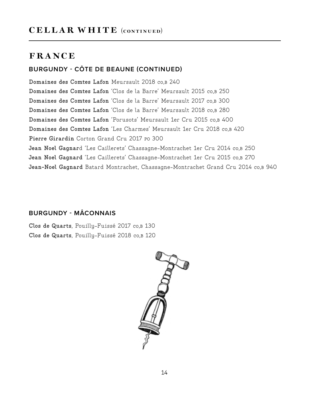## **BURGUNDY - CÔTE DE BEAUNE (CONTINUED)**

**Domaines des Comtes Lafon** Meursault 2018 co,B 240 **Domaines des Comtes Lafon** 'Clos de la Barre' Meursault 2015 co,B 250 **Domaines des Comtes Lafon** 'Clos de la Barre' Meursault 2017 co,B 300 **Domaines des Comtes Lafon** 'Clos de la Barre' Meursault 2018 co,B 280 **Domaines des Comtes Lafon** 'Porusots' Meursault 1er Cru 2015 co,B 400 **Domaines des Comtes Lafon** 'Les Charmes' Meursault 1er Cru 2018 co,B 420 **Pierre Girardin** Corton Grand Cru 2017 PO 300 **Jean Noel Gagnar**d 'Les Caillerets' Chassagne-Montrachet 1er Cru 2014 co,B 250 **Jean Noel Gagnard** 'Les Caillerets' Chassagne-Montrachet 1er Cru 2015 co,B 270 **Jean-Noel Gagnard** Batard Montrachet, Chassagne-Montrachet Grand Cru 2014 co,B 940

## **BURGUNDY - MÂCONNAIS**

**Clos de Quarts**, Pouilly-Fuissé 2017 co,B 130 **Clos de Quarts**, Pouilly-Fuissé 2018 co,B 120

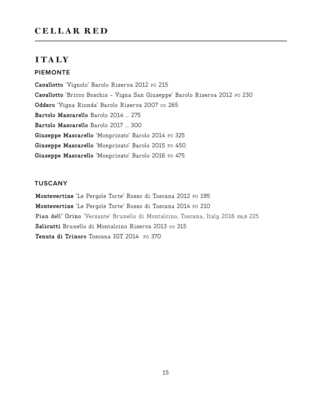# cellar red

# **ITALY**

### **PIEMONTE**

**Cavallotto** 'Vignolo' Barolo Riserva 2012 PO 215 **Cavallotto** 'Bricco Boschis - Vigna San Giuseppe' Barolo Riserva 2012 PO 230 **Oddero** 'Vigna Rionda' Barolo Riserva 2007 co 265 **Bartolo Mascarello** Barolo 2014 ... 275 **Bartolo Mascarello** Barolo 2017 ... 300 **Giuseppe Mascarello** 'Monprivato' Barolo 2014 PO 325 **Giuseppe Mascarello** 'Monprivato' Barolo 2015 PO 450 **Giuseppe Mascarello** 'Monprivato' Barolo 2016 PO 475

## **TUSCANY**

Montevertine 'Le Pergole Torte' Rosso di Toscana 2012 PO 195 **Montevertine** 'Le Pergole Torte' Rosso di Toscana 2014 PO 210 **Pian dell' Orino** 'Versante' Brunello di Montalcino, Toscana, Italy 2016 co,B 225 **Salicutti** Brunello di Montalcino Riserva 2013 co 315 Tenuta di Trinoro Toscana IGT 2014 PO 370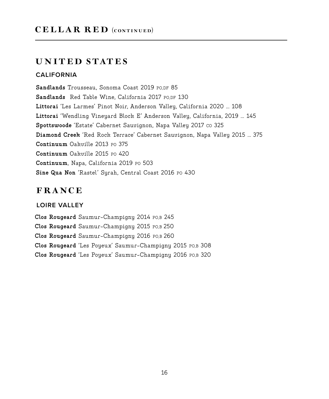# united states

#### **CALIFORNIA**

**Sandlands** Trousseau, Sonoma Coast 2019 PO,DF 85 **Sandlands** Red Table Wine, California 2017 PO,DF 130 **Littorai** 'Les Larmes' Pinot Noir, Anderson Valley, California 2020 ... 108 **Littorai** 'Wendling Vineyard Block E' Anderson Valley, California, 2019 ... 145 Spottswoode 'Estate' Cabernet Sauvignon, Napa Valley 2017 co 325 **Diamond Creek** 'Red Rock Terrace' Cabernet Sauvignon, Napa Valley 2015 ... 375 **Continuum** Oakville 2013 PO 375 **Continuum** Oakville 2015 PO 420 **Continuum**, Napa, California 2019 PO 503 **Sine Qua Non** 'Rastel' Syrah, Central Coast 2016 PO 430

# FRANCE

### **LOIRE VALLEY**

**Clos Rougeard** Saumur-Champigny 2014 PO,B 245 **Clos Rougeard** Saumur-Champigny 2015 PO,B 250 **Clos Rougeard** Saumur-Champigny 2016 PO,B 260 **Clos Rougeard** 'Les Poyeux' Saumur-Champigny 2015 PO,B 308 **Clos Rougeard** 'Les Poyeux' Saumur-Champigny 2016 PO,B 320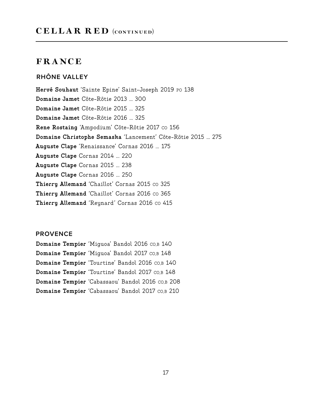## **RHÔNE VALLEY**

**Hervé Souhaut** 'Sainte Epine' Saint-Joseph 2019 PO 138 **Domaine Jamet** Côte-Rôtie 2013 ... 300 **Domaine Jamet** Côte-Rôtie 2015 ... 325 **Domaine Jamet** Côte-Rôtie 2016 ... 325 Rene Rostaing 'Ampodium' Côte-Rôtie 2017 co 156 **Domaine Christophe Semaska** 'Lancement' Côte-Rôtie 2015 ... 275 **Auguste Clape** 'Renaissance' Cornas 2016 ... 175 **Auguste Clape** Cornas 2014 ... 220 **Auguste Clape** Cornas 2015 ... 238 **Auguste Clape** Cornas 2016 ... 250 **Thierry Allemand** 'Chaillot' Cornas 2015 co 325 Thierry Allemand 'Chaillot' Cornas 2016 co 365 **Thierry Allemand** 'Reynard' Cornas 2016 co 415

### **PROVENCE**

**Domaine Tempier** 'Miguoa' Bandol 2016 CO,B 140 **Domaine Tempier** 'Miguoa' Bandol 2017 CO,B 148 **Domaine Tempier** 'Tourtine' Bandol 2016 CO,B 140 **Domaine Tempier** 'Tourtine' Bandol 2017 CO,B 148 **Domaine Tempier** 'Cabassaou' Bandol 2016 CO,B 208 **Domaine Tempier** 'Cabassaou' Bandol 2017 CO,B 210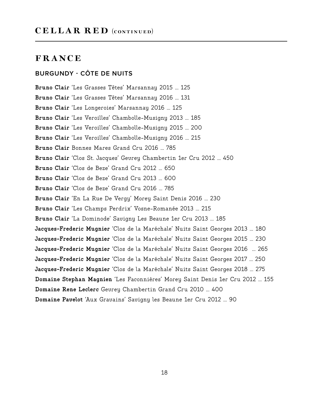## **BURGUNDY - CÔTE DE NUITS**

**Bruno Clair** 'Les Grasses Têtes' Marsannay 2015 ... 125 **Bruno Clair** 'Les Grasses Têtes' Marsannay 2016 ... 131 **Bruno Clair** 'Les Longeroies' Marsannay 2016 ... 125 **Bruno Clair** 'Les Veroilles' Chambolle-Musigny 2013 ... 185 **Bruno Clair** 'Les Veroilles' Chambolle-Musigny 2015 ... 200 **Bruno Clair** 'Les Veroilles' Chambolle-Musigny 2016 ... 215 **Bruno Clair** Bonnes Mares Grand Cru 2016 ... 785 **Bruno Clair** 'Clos St. Jacques' Gevrey Chambertin 1er Cru 2012 ... 450 **Bruno Clair** 'Clos de Beze' Grand Cru 2012 ... 650 **Bruno Clair** 'Clos de Beze' Grand Cru 2013 ... 600 **Bruno Clair** 'Clos de Beze' Grand Cru 2016 ... 785 **Bruno Clair** 'En La Rue De Vergy' Morey Saint Denis 2016 ... 230 **Bruno Clair** 'Les Champs Perdrix' Vosne-Romanée 2013 ... 215 **Bruno Clair** 'La Dominode' Savigny Les Beaune 1er Cru 2013 ... 185 **Jacques-Frederic Mugnier** 'Clos de la Maréchale' Nuits Saint Georges 2013 ... 180 **Jacques-Frederic Mugnier** 'Clos de la Maréchale' Nuits Saint Georges 2015 ... 230 **Jacques-Frederic Mugnier** 'Clos de la Maréchale' Nuits Saint Georges 2016 ... 265 **Jacques-Frederic Mugnier** 'Clos de la Maréchale' Nuits Saint Georges 2017 ... 250 **Jacques-Frederic Mugnier** 'Clos de la Maréchale' Nuits Saint Georges 2018 ... 275 **Domaine Stephan Magnien** 'Les Faconnières' Morey Saint Denis 1er Cru 2012 ... 155 **Domaine Rene Leclerc** Gevrey Chambertin Grand Cru 2010 ... 400 **Domaine Pavelot** 'Aux Gravains' Savigny les Beaune 1er Cru 2012 ... 90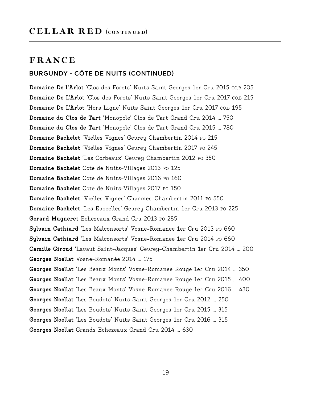# cellar red (continued)

## FRANCE

## **BURGUNDY - CÔTE DE NUITS (CONTINUED)**

**Domaine De l'Arlot** 'Clos des Forets' Nuits Saint Georges 1er Cru 2015 CO,B 205 **Domaine De L'Arlot** 'Clos des Forets' Nuits Saint Georges 1er Cru 2017 CO,B 215 **Domaine De L'Arlot** 'Hors Ligne' Nuits Saint Georges 1er Cru 2017 CO,B 195 **Domaine du Clos de Tart** 'Monopole' Clos de Tart Grand Cru 2014 ... 750 **Domaine du Clos de Tart** 'Monopole' Clos de Tart Grand Cru 2015 ... 780 **Domaine Bachelet** 'Vielles Vignes' Gevrey Chambertin 2014 PO 215 **Domaine Bachelet** 'Vielles Vignes' Gevrey Chambertin 2017 PO 245 **Domaine Bachelet** 'Les Corbeaux' Gevrey Chambertin 2012 PO 350 **Domaine Bachelet** Cote de Nuits-Villages 2013 PO 125 **Domaine Bachelet** Cote de Nuits-Villages 2016 PO 160 **Domaine Bachelet** Cote de Nuits-Villages 2017 PO 150 **Domaine Bachelet** 'Vielles Vignes' Charmes-Chambertin 2011 PO 550 **Domaine Bachelet** 'Les Evocelles' Gevrey Chambertin 1er Cru 2013 PO 225 **Gerard Mugneret** Echezeaux Grand Cru 2013 PO 285 **Sylvain Cathiard** 'Les Malconsorts' Vosne-Romanee 1er Cru 2013 PO 660 **Sylvain Cathiard** 'Les Malconsorts' Vosne-Romanee 1er Cru 2014 PO 660 **Camille Giroud** 'Lavaut Saint-Jacques' Gevrey-Chambertin 1er Cru 2014 ... 200 **Georges Noellat** Vosne-Romanée 2014 ... 175 **Georges Noellat** 'Les Beaux Monts' Vosne-Romanee Rouge 1er Cru 2014 ... 350 **Georges Noellat** 'Les Beaux Monts' Vosne-Romanee Rouge 1er Cru 2015 ... 400 **Georges Noellat** 'Les Beaux Monts' Vosne-Romanee Rouge 1er Cru 2016 ... 430 **Georges Noellat** 'Les Boudots' Nuits Saint Georges 1er Cru 2012 ... 250 **Georges Noellat** 'Les Boudots' Nuits Saint Georges 1er Cru 2015 ... 315 **Georges Noellat** 'Les Boudots' Nuits Saint Georges 1er Cru 2016 ... 315 **Georges Noellat** Grands Echezeaux Grand Cru 2014 ... 630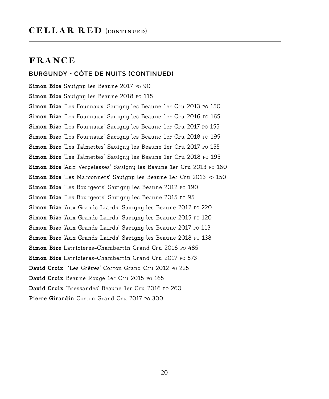## CELLAR RED (CONTINUED)

## **FRANCE**

### **BURGUNDY - CÔTE DE NUITS (CONTINUED)**

**Simon Bize** Savigny les Beaune 2017 PO 90 Simon Bize Savigny les Beaune 2018 Po 115 **Simon Bize** 'Les Fournaux' Savigny les Beaune 1er Cru 2013 PO 150 **Simon Bize** 'Les Fournaux' Savigny les Beaune 1er Cru 2016 PO 165 **Simon Bize** 'Les Fournaux' Savigny les Beaune 1er Cru 2017 PO 155 **Simon Bize** 'Les Fournaux' Savigny les Beaune 1er Cru 2018 PO 195 Simon Bize 'Les Talmettes' Savigny les Beaune 1er Cru 2017 Po 155 **Simon Bize** 'Les Talmettes' Savigny les Beaune 1er Cru 2018 PO 195 **Simon Bize** 'Aux Vergelesses' Savigny les Beaune 1er Cru 2013 PO 160 **Simon Bize** 'Les Marconnets' Savigny les Beaune 1er Cru 2013 PO 150 **Simon Bize** 'Les Bourgeots' Savigny les Beaune 2012 PO 190 **Simon Bize** 'Les Bourgeots' Savigny les Beaune 2015 PO 95 **Simon Bize** 'Aux Grands Liards' Savigny les Beaune 2012 PO 220 **Simon Bize** 'Aux Grands Lairds' Savigny les Beaune 2015 PO 120 Simon Bize 'Aux Grands Lairds' Savigny les Beaune 2017 Po 113 **Simon Bize** 'Aux Grands Lairds' Savigny les Beaune 2018 PO 138 Simon Bize Latricieres-Chambertin Grand Cru 2016 Po 485 **Simon Bize** Latricieres-Chambertin Grand Cru 2017 PO 573 **David Croix** 'Les Grèves' Corton Grand Cru 2012 PO 225 **David Croix** Beaune Rouge 1er Cru 2015 PO 165 **David Croix** 'Bressandes' Beaune 1er Cru 2016 PO 260 **Pierre Girardin** Corton Grand Cru 2017 Po 300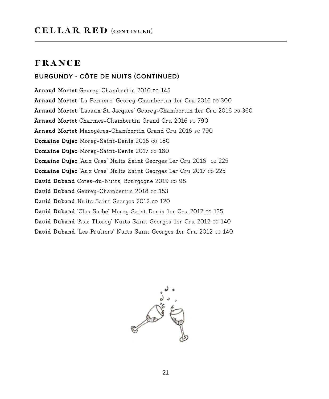# CELLAR RED (CONTINUED)

# **FRANCE**

## **BURGUNDY - CÔTE DE NUITS (CONTINUED)**

**Arnaud Mortet** Gevrey-Chambertin 2016 PO 145 **Arnaud Mortet** 'La Perriere' Gevrey-Chambertin 1er Cru 2016 PO 300 **Arnaud Mortet** 'Lavaux St. Jacques' Gevrey-Chambertin 1er Cru 2016 PO 360 **Arnaud Mortet** Charmes-Chambertin Grand Cru 2016 PO 790 **Arnaud Mortet** Mazoyères-Chambertin Grand Cru 2016 PO 790 **Domaine Dujac** Morey-Saint-Denis 2016 CO 180 **Domaine Dujac Morey-Saint-Denis 2017 co 180** Domaine Dujac 'Aux Cras' Nuits Saint Georges 1er Cru 2016 co 225 **Domaine Dujac** 'Aux Cras' Nuits Saint Georges 1er Cru 2017 co 225 David Duband Cotes-du-Nuits, Bourgogne 2019 co 98 David Duband Gevrey-Chambertin 2018 co 153 David Duband Nuits Saint Georges 2012 co 120 David Duband 'Clos Sorbe' Morey Saint Denis 1er Cru 2012 co 135 David Duband 'Aux Thorey' Nuits Saint Georges 1er Cru 2012 co 140 David Duband 'Les Pruliers' Nuits Saint Georges 1er Cru 2012 co 140

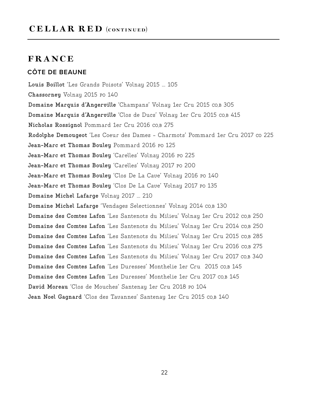# CELLAR RED (CONTINUED)

# FRANCE

## **CÔTE DE BEAUNE**

**Louis Boillot** 'Les Grands Poisots' Volnay 2015 ... 105 **Chassorney** Volnay 2015 PO 140 **Domaine Marquis d'Angerville** 'Champans' Volnay 1er Cru 2015 CO,B 305 **Domaine Marquis d'Angerville** 'Clos de Ducs' Volnay 1er Cru 2015 CO,B 415 **Nicholas Rossignol** Pommard 1er Cru 2016 CO,B 275 **Rodolphe Demougeot** 'Les Coeur des Dames - Charmots' Pommard 1er Cru 2017 CO 225 **Jean-Marc et Thomas Bouley** Pommard 2016 PO 125 **Jean-Marc et Thomas Bouley** 'Carelles' Volnay 2016 PO 225 **Jean-Marc et Thomas Bouley** 'Carelles' Volnay 2017 PO 200 **Jean-Marc et Thomas Bouley** 'Clos De La Cave' Volnay 2016 PO 140 **Jean-Marc et Thomas Bouley** 'Clos De La Cave' Volnay 2017 PO 135 **Domaine Michel Lafarge** Volnay 2017 ... 210 **Domaine Michel Lafarge** 'Vendages Selectionnes' Volnay 2014 CO,B 130 **Domaine des Comtes Lafon** 'Les Santenots du Milieu' Volnay 1er Cru 2012 CO,B 250 **Domaine des Comtes Lafon** 'Les Santenots du Milieu' Volnay 1er Cru 2014 CO,B 250 **Domaine des Comtes Lafon** 'Les Santenots du Milieu' Volnay 1er Cru 2015 CO,B 285 **Domaine des Comtes Lafon** 'Les Santenots du Milieu' Volnay 1er Cru 2016 CO,B 275 **Domaine des Comtes Lafon** 'Les Santenots du Milieu' Volnay 1er Cru 2017 CO,B 340 **Domaine des Comtes Lafon** 'Les Duresses' Monthelie 1er Cru 2015 CO,B 145 **Domaine des Comtes Lafon** 'Les Duresses' Monthelie 1er Cru 2017 CO,B 145 **David Moreau** 'Clos de Mouches' Santenay 1er Cru 2018 PO 104 Jean Noel Gagnard 'Clos des Tavannes' Santenay 1er Cru 2015 co,B 140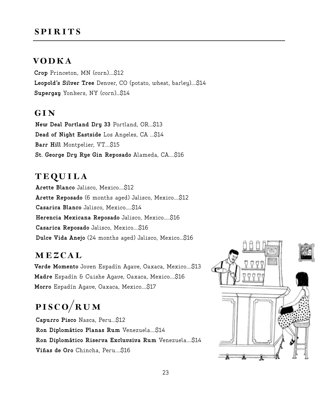# **SPIRITS**

# vodk a

**Crop** Princeton, MN (corn)....\$12 **Leopold's Silver Tree** Denver, CO (potato, wheat, barley)....\$14 **Supergay** Yonkers, NY (corn)…\$14

# GIN

**New Deal Portland Dry 33** Portland, OR...\$13 **Dead of Night Eastside** Los Angeles, CA ...\$14 **Barr Hill** Montpelier, VT....\$15 **St. George Dry Rye Gin Reposado** Alameda, CA....\$16

# **TEQUILA**

**Arette Blanco** Jalisco, Mexico....\$12 **Arette Reposado** (6 months aged) Jalisco, Mexico....\$12 **Casarica Blanco** Jalisco, Mexico…..\$14 **Herencia Mexicana Reposado** Jalisco, Mexico…..\$16 **Casarica Reposado** Jalisco, Mexico....\$16 **Dulce Vida Anejo** (24 months aged) Jalisco, Mexico…\$16

## MEZCAL

**Verde Momento** Joven Espadín Agave, Oaxaca, Mexico....\$13 **Madre** Espadín & Cuishe Agave, Oaxaca, Mexico....\$16 **Morro** Espadín Agave, Oaxaca, Mexico....\$17

# pisco/rum

**Capurro Pisco** Nasca, Peru...\$12 **Ron Diplomático Planas Rum** Venezuela....\$14 **Ron Diplomático Riserva Excluvsiva Rum** Venezuela....\$14 **Viñas de Oro** Chincha, Peru....\$16